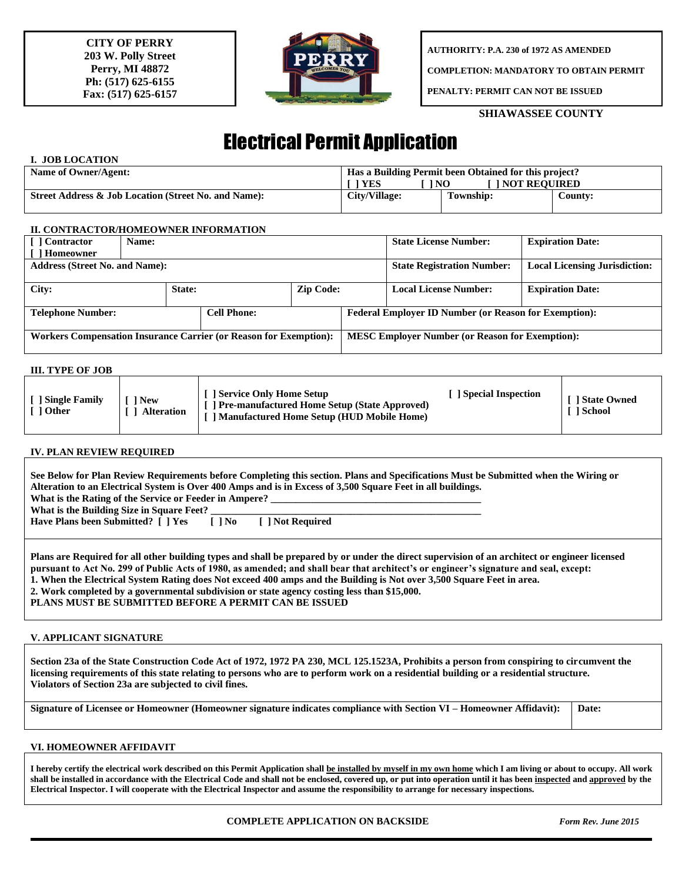**CITY OF PERRY 203 W. Polly Street Perry, MI 48872 Ph: (517) 625-6155 Fax: (517) 625-6157**



**AUTHORITY: P.A. 230 of 1972 AS AMENDED**

**COMPLETION: MANDATORY TO OBTAIN PERMIT**

**PENALTY: PERMIT CAN NOT BE ISSUED**

## **SHIAWASSEE COUNTY**

# Electrical Permit Application

## **I. JOB LOCATION**

| Name of Owner/Agent:                                 | Has a Building Permit been Obtained for this project? |                       |         |  |
|------------------------------------------------------|-------------------------------------------------------|-----------------------|---------|--|
|                                                      | 1 NO<br><b>TYES</b>                                   | <b>TINOT REOUIRED</b> |         |  |
| Street Address & Job Location (Street No. and Name): | City/Village:                                         | <b>Township:</b>      | County: |  |

#### **II. CONTRACTOR/HOMEOWNER INFORMATION**

| [ ] Contractor                                                    | Name:  |                                                              |                  |                                   | <b>State License Number:</b>         | <b>Expiration Date:</b> |  |
|-------------------------------------------------------------------|--------|--------------------------------------------------------------|------------------|-----------------------------------|--------------------------------------|-------------------------|--|
| Homeowner                                                         |        |                                                              |                  |                                   |                                      |                         |  |
| <b>Address (Street No. and Name):</b>                             |        |                                                              |                  | <b>State Registration Number:</b> | <b>Local Licensing Jurisdiction:</b> |                         |  |
|                                                                   |        |                                                              |                  |                                   |                                      |                         |  |
| City:                                                             | State: |                                                              | <b>Zip Code:</b> |                                   | <b>Local License Number:</b>         | <b>Expiration Date:</b> |  |
|                                                                   |        |                                                              |                  |                                   |                                      |                         |  |
| <b>Telephone Number:</b><br><b>Cell Phone:</b>                    |        | <b>Federal Employer ID Number (or Reason for Exemption):</b> |                  |                                   |                                      |                         |  |
|                                                                   |        |                                                              |                  |                                   |                                      |                         |  |
| Workers Compensation Insurance Carrier (or Reason for Exemption): |        | <b>MESC Employer Number (or Reason for Exemption):</b>       |                  |                                   |                                      |                         |  |
|                                                                   |        |                                                              |                  |                                   |                                      |                         |  |

### **III. TYPE OF JOB**

| <b>Single Family</b><br>1 Other | <sup>1</sup> New<br><b>Alteration</b> | <b>Service Only Home Setup</b><br><b>Pre-manufactured Home Setup (State Approved)</b><br>Manufactured Home Setup (HUD Mobile Home) | Special Inspection | 1 State Owned<br>1 School |
|---------------------------------|---------------------------------------|------------------------------------------------------------------------------------------------------------------------------------|--------------------|---------------------------|
|---------------------------------|---------------------------------------|------------------------------------------------------------------------------------------------------------------------------------|--------------------|---------------------------|

## **IV. PLAN REVIEW REQUIRED**

| See Below for Plan Review Requirements before Completing this section. Plans and Specifications Must be Submitted when the Wiring or<br>Alteration to an Electrical System is Over 400 Amps and is in Excess of 3,500 Square Feet in all buildings.<br>What is the Rating of the Service or Feeder in Ampere?<br>What is the Building Size in Square Feet?<br>Have Plans been Submitted? [ ] Yes [ ] No<br>[ ] Not Required |  |  |  |  |  |
|-----------------------------------------------------------------------------------------------------------------------------------------------------------------------------------------------------------------------------------------------------------------------------------------------------------------------------------------------------------------------------------------------------------------------------|--|--|--|--|--|
| Plans are Required for all other building types and shall be prepared by or under the direct supervision of an architect or engineer licensed<br>pursuant to Act No. 299 of Public Acts of 1980, as amended; and shall bear that architect's or engineer's signature and seal, except:<br>1. When the Electrical System Rating does Not exceed 400 amps and the Building is Not over 3,500 Square Feet in area.             |  |  |  |  |  |

**2. Work completed by a governmental subdivision or state agency costing less than \$15,000.**

**PLANS MUST BE SUBMITTED BEFORE A PERMIT CAN BE ISSUED**

## **V. APPLICANT SIGNATURE**

**Section 23a of the State Construction Code Act of 1972, 1972 PA 230, MCL 125.1523A, Prohibits a person from conspiring to circumvent the licensing requirements of this state relating to persons who are to perform work on a residential building or a residential structure. Violators of Section 23a are subjected to civil fines.**

**Signature of Licensee or Homeowner (Homeowner signature indicates compliance with Section VI – Homeowner Affidavit): Date:**

## **VI. HOMEOWNER AFFIDAVIT**

**I hereby certify the electrical work described on this Permit Application shall be installed by myself in my own home which I am living or about to occupy. All work shall be installed in accordance with the Electrical Code and shall not be enclosed, covered up, or put into operation until it has been inspected and approved by the Electrical Inspector. I will cooperate with the Electrical Inspector and assume the responsibility to arrange for necessary inspections.**

 **COMPLETE APPLICATION ON BACKSIDE** *Form Rev. June 2015*